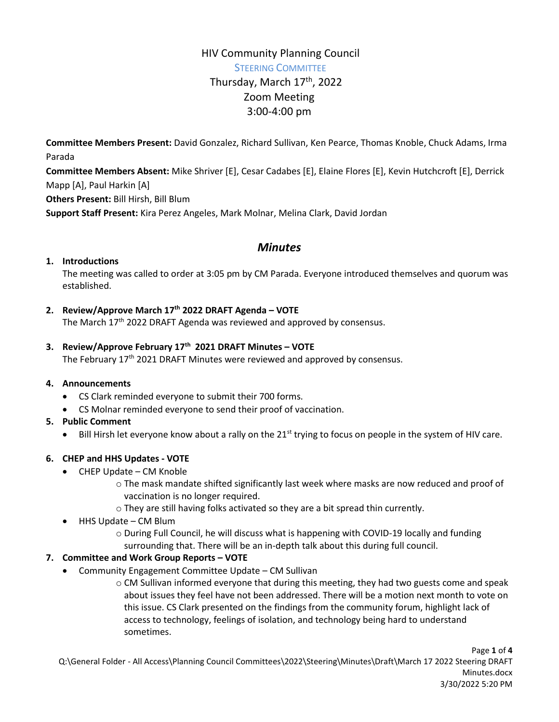# HIV Community Planning Council STEERING COMMITTEE Thursday, March 17<sup>th</sup>, 2022 Zoom Meeting 3:00-4:00 pm

**Committee Members Present:** David Gonzalez, Richard Sullivan, Ken Pearce, Thomas Knoble, Chuck Adams, Irma Parada

**Committee Members Absent:** Mike Shriver [E], Cesar Cadabes [E], Elaine Flores [E], Kevin Hutchcroft [E], Derrick Mapp [A], Paul Harkin [A]

**Others Present:** Bill Hirsh, Bill Blum

**Support Staff Present:** Kira Perez Angeles, Mark Molnar, Melina Clark, David Jordan

# *Minutes*

#### **1. Introductions**

The meeting was called to order at 3:05 pm by CM Parada. Everyone introduced themselves and quorum was established.

#### **2. Review/Approve March 17th 2022 DRAFT Agenda – VOTE**

The March 17<sup>th</sup> 2022 DRAFT Agenda was reviewed and approved by consensus.

#### **3. Review/Approve February 17th 2021 DRAFT Minutes – VOTE**

The February 17<sup>th</sup> 2021 DRAFT Minutes were reviewed and approved by consensus.

#### **4. Announcements**

- CS Clark reminded everyone to submit their 700 forms.
- CS Molnar reminded everyone to send their proof of vaccination.

#### **5. Public Comment**

• Bill Hirsh let everyone know about a rally on the 21<sup>st</sup> trying to focus on people in the system of HIV care.

#### **6. CHEP and HHS Updates - VOTE**

- CHEP Update CM Knoble
	- o The mask mandate shifted significantly last week where masks are now reduced and proof of vaccination is no longer required.
	- o They are still having folks activated so they are a bit spread thin currently.
- HHS Update CM Blum
	- o During Full Council, he will discuss what is happening with COVID-19 locally and funding surrounding that. There will be an in-depth talk about this during full council.

#### **7. Committee and Work Group Reports – VOTE**

Community Engagement Committee Update – CM Sullivan

 $\circ$  CM Sullivan informed everyone that during this meeting, they had two guests come and speak about issues they feel have not been addressed. There will be a motion next month to vote on this issue. CS Clark presented on the findings from the community forum, highlight lack of access to technology, feelings of isolation, and technology being hard to understand sometimes.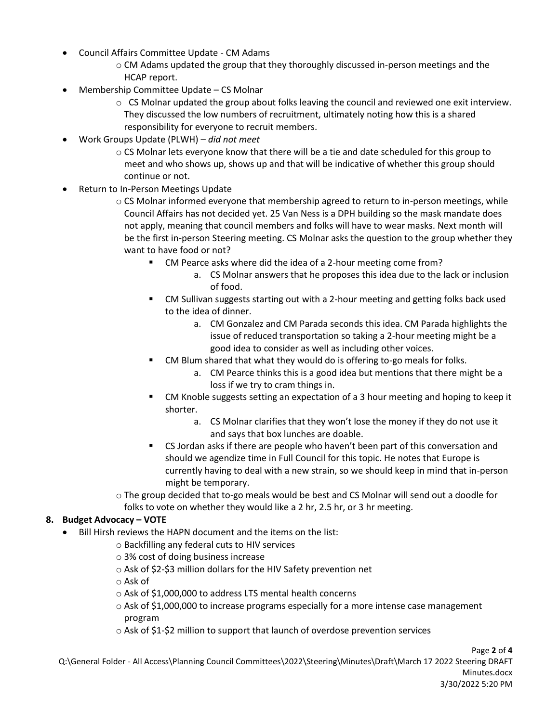- Council Affairs Committee Update CM Adams
	- o CM Adams updated the group that they thoroughly discussed in-person meetings and the HCAP report.
- Membership Committee Update CS Molnar
	- $\circ$  CS Molnar updated the group about folks leaving the council and reviewed one exit interview. They discussed the low numbers of recruitment, ultimately noting how this is a shared responsibility for everyone to recruit members.
- Work Groups Update (PLWH) *did not meet*
	- o CS Molnar lets everyone know that there will be a tie and date scheduled for this group to meet and who shows up, shows up and that will be indicative of whether this group should continue or not.
- Return to In-Person Meetings Update
	- $\circ$  CS Molnar informed everyone that membership agreed to return to in-person meetings, while Council Affairs has not decided yet. 25 Van Ness is a DPH building so the mask mandate does not apply, meaning that council members and folks will have to wear masks. Next month will be the first in-person Steering meeting. CS Molnar asks the question to the group whether they want to have food or not?
		- CM Pearce asks where did the idea of a 2-hour meeting come from?
			- a. CS Molnar answers that he proposes this idea due to the lack or inclusion of food.
		- CM Sullivan suggests starting out with a 2-hour meeting and getting folks back used to the idea of dinner.
			- a. CM Gonzalez and CM Parada seconds this idea. CM Parada highlights the issue of reduced transportation so taking a 2-hour meeting might be a good idea to consider as well as including other voices.
		- CM Blum shared that what they would do is offering to-go meals for folks.
			- a. CM Pearce thinks this is a good idea but mentions that there might be a loss if we try to cram things in.
		- CM Knoble suggests setting an expectation of a 3 hour meeting and hoping to keep it shorter.
			- a. CS Molnar clarifies that they won't lose the money if they do not use it and says that box lunches are doable.
		- CS Jordan asks if there are people who haven't been part of this conversation and should we agendize time in Full Council for this topic. He notes that Europe is currently having to deal with a new strain, so we should keep in mind that in-person might be temporary.

o The group decided that to-go meals would be best and CS Molnar will send out a doodle for folks to vote on whether they would like a 2 hr, 2.5 hr, or 3 hr meeting.

#### **8. Budget Advocacy – VOTE**

- Bill Hirsh reviews the HAPN document and the items on the list:
	- o Backfilling any federal cuts to HIV services
	- o 3% cost of doing business increase
	- o Ask of \$2-\$3 million dollars for the HIV Safety prevention net

o Ask of

- o Ask of \$1,000,000 to address LTS mental health concerns
- o Ask of \$1,000,000 to increase programs especially for a more intense case management program
- o Ask of \$1-\$2 million to support that launch of overdose prevention services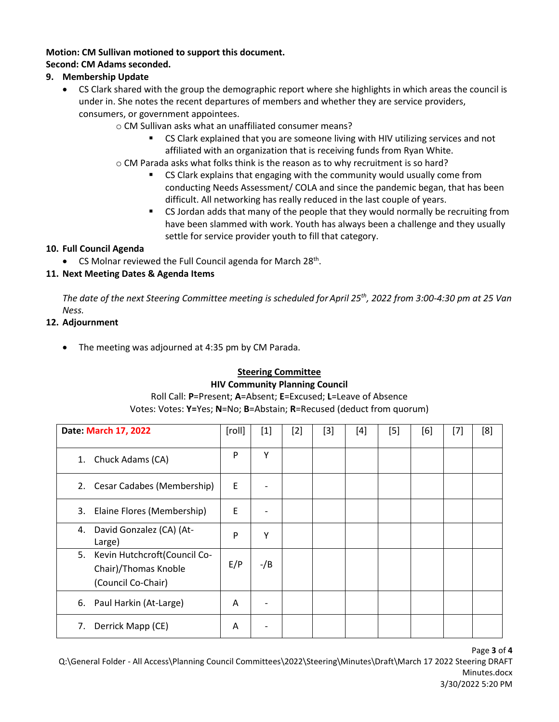#### **Motion: CM Sullivan motioned to support this document.**

#### **Second: CM Adams seconded.**

#### **9. Membership Update**

- CS Clark shared with the group the demographic report where she highlights in which areas the council is under in. She notes the recent departures of members and whether they are service providers, consumers, or government appointees.
	- o CM Sullivan asks what an unaffiliated consumer means?
		- CS Clark explained that you are someone living with HIV utilizing services and not affiliated with an organization that is receiving funds from Ryan White.
	- o CM Parada asks what folks think is the reason as to why recruitment is so hard?
		- CS Clark explains that engaging with the community would usually come from conducting Needs Assessment/ COLA and since the pandemic began, that has been difficult. All networking has really reduced in the last couple of years.
		- CS Jordan adds that many of the people that they would normally be recruiting from have been slammed with work. Youth has always been a challenge and they usually settle for service provider youth to fill that category.

#### **10. Full Council Agenda**

• CS Molnar reviewed the Full Council agenda for March 28<sup>th</sup>.

### **11. Next Meeting Dates & Agenda Items**

*The date of the next Steering Committee meeting is scheduled for April 25th, 2022 from 3:00-4:30 pm at 25 Van Ness.*

#### **12. Adjournment**

• The meeting was adjourned at 4:35 pm by CM Parada.

# **Steering Committee**

#### **HIV Community Planning Council**

#### Roll Call: **P**=Present; **A**=Absent; **E**=Excused; **L**=Leave of Absence Votes: Votes: **Y=**Yes; **N**=No; **B**=Abstain; **R**=Recused (deduct from quorum)

| Date: March 17, 2022                                                             | [roll] | $[1]$  | $[2] % \includegraphics[width=0.9\columnwidth]{figures/fig_10.pdf} \caption{The figure shows the number of parameters in the left and right.} \label{fig:2} %$ | $[3]$ | $[4]$ | [5] | [6] | $[7]$ | [8] |
|----------------------------------------------------------------------------------|--------|--------|----------------------------------------------------------------------------------------------------------------------------------------------------------------|-------|-------|-----|-----|-------|-----|
| Chuck Adams (CA)<br>1.                                                           | P      | Υ      |                                                                                                                                                                |       |       |     |     |       |     |
| Cesar Cadabes (Membership)<br>2.                                                 | E      |        |                                                                                                                                                                |       |       |     |     |       |     |
| Elaine Flores (Membership)<br>3.                                                 | E      |        |                                                                                                                                                                |       |       |     |     |       |     |
| David Gonzalez (CA) (At-<br>4.<br>Large)                                         | P      | Y      |                                                                                                                                                                |       |       |     |     |       |     |
| Kevin Hutchcroft(Council Co-<br>5.<br>Chair)/Thomas Knoble<br>(Council Co-Chair) | E/P    | $-$ /B |                                                                                                                                                                |       |       |     |     |       |     |
| 6. Paul Harkin (At-Large)                                                        | A      |        |                                                                                                                                                                |       |       |     |     |       |     |
| Derrick Mapp (CE)<br>7.                                                          | A      |        |                                                                                                                                                                |       |       |     |     |       |     |

Page **3** of **4**

Q:\General Folder - All Access\Planning Council Committees\2022\Steering\Minutes\Draft\March 17 2022 Steering DRAFT Minutes.docx 3/30/2022 5:20 PM